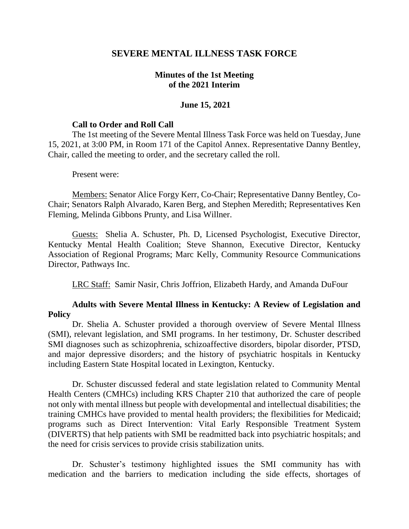# **SEVERE MENTAL ILLNESS TASK FORCE**

## **Minutes of the 1st Meeting of the 2021 Interim**

### **June 15, 2021**

#### **Call to Order and Roll Call**

The 1st meeting of the Severe Mental Illness Task Force was held on Tuesday, June 15, 2021, at 3:00 PM, in Room 171 of the Capitol Annex. Representative Danny Bentley, Chair, called the meeting to order, and the secretary called the roll.

#### Present were:

Members: Senator Alice Forgy Kerr, Co-Chair; Representative Danny Bentley, Co-Chair; Senators Ralph Alvarado, Karen Berg, and Stephen Meredith; Representatives Ken Fleming, Melinda Gibbons Prunty, and Lisa Willner.

Guests: Shelia A. Schuster, Ph. D, Licensed Psychologist, Executive Director, Kentucky Mental Health Coalition; Steve Shannon, Executive Director, Kentucky Association of Regional Programs; Marc Kelly, Community Resource Communications Director, Pathways Inc.

LRC Staff: Samir Nasir, Chris Joffrion, Elizabeth Hardy, and Amanda DuFour

# **Adults with Severe Mental Illness in Kentucky: A Review of Legislation and Policy**

Dr. Shelia A. Schuster provided a thorough overview of Severe Mental Illness (SMI), relevant legislation, and SMI programs. In her testimony, Dr. Schuster described SMI diagnoses such as schizophrenia, schizoaffective disorders, bipolar disorder, PTSD, and major depressive disorders; and the history of psychiatric hospitals in Kentucky including Eastern State Hospital located in Lexington, Kentucky.

Dr. Schuster discussed federal and state legislation related to Community Mental Health Centers (CMHCs) including KRS Chapter 210 that authorized the care of people not only with mental illness but people with developmental and intellectual disabilities; the training CMHCs have provided to mental health providers; the flexibilities for Medicaid; programs such as Direct Intervention: Vital Early Responsible Treatment System (DIVERTS) that help patients with SMI be readmitted back into psychiatric hospitals; and the need for crisis services to provide crisis stabilization units.

Dr. Schuster's testimony highlighted issues the SMI community has with medication and the barriers to medication including the side effects, shortages of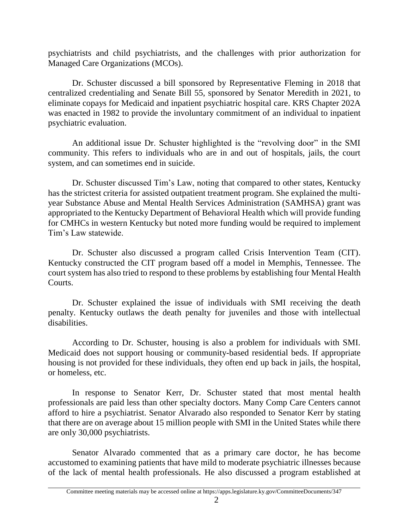psychiatrists and child psychiatrists, and the challenges with prior authorization for Managed Care Organizations (MCOs).

Dr. Schuster discussed a bill sponsored by Representative Fleming in 2018 that centralized credentialing and Senate Bill 55, sponsored by Senator Meredith in 2021, to eliminate copays for Medicaid and inpatient psychiatric hospital care. KRS Chapter 202A was enacted in 1982 to provide the involuntary commitment of an individual to inpatient psychiatric evaluation.

An additional issue Dr. Schuster highlighted is the "revolving door" in the SMI community. This refers to individuals who are in and out of hospitals, jails, the court system, and can sometimes end in suicide.

Dr. Schuster discussed Tim's Law, noting that compared to other states, Kentucky has the strictest criteria for assisted outpatient treatment program. She explained the multiyear Substance Abuse and Mental Health Services Administration (SAMHSA) grant was appropriated to the Kentucky Department of Behavioral Health which will provide funding for CMHCs in western Kentucky but noted more funding would be required to implement Tim's Law statewide.

Dr. Schuster also discussed a program called Crisis Intervention Team (CIT). Kentucky constructed the CIT program based off a model in Memphis, Tennessee. The court system has also tried to respond to these problems by establishing four Mental Health Courts.

Dr. Schuster explained the issue of individuals with SMI receiving the death penalty. Kentucky outlaws the death penalty for juveniles and those with intellectual disabilities.

According to Dr. Schuster, housing is also a problem for individuals with SMI. Medicaid does not support housing or community-based residential beds. If appropriate housing is not provided for these individuals, they often end up back in jails, the hospital, or homeless, etc.

In response to Senator Kerr, Dr. Schuster stated that most mental health professionals are paid less than other specialty doctors. Many Comp Care Centers cannot afford to hire a psychiatrist. Senator Alvarado also responded to Senator Kerr by stating that there are on average about 15 million people with SMI in the United States while there are only 30,000 psychiatrists.

Senator Alvarado commented that as a primary care doctor, he has become accustomed to examining patients that have mild to moderate psychiatric illnesses because of the lack of mental health professionals. He also discussed a program established at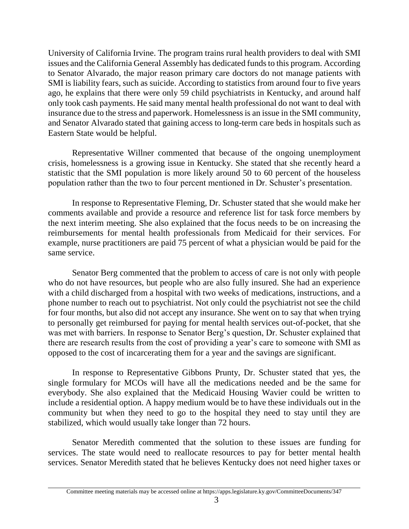University of California Irvine. The program trains rural health providers to deal with SMI issues and the California General Assembly has dedicated funds to this program. According to Senator Alvarado, the major reason primary care doctors do not manage patients with SMI is liability fears, such as suicide. According to statistics from around four to five years ago, he explains that there were only 59 child psychiatrists in Kentucky, and around half only took cash payments. He said many mental health professional do not want to deal with insurance due to the stress and paperwork. Homelessness is an issue in the SMI community, and Senator Alvarado stated that gaining access to long-term care beds in hospitals such as Eastern State would be helpful.

Representative Willner commented that because of the ongoing unemployment crisis, homelessness is a growing issue in Kentucky. She stated that she recently heard a statistic that the SMI population is more likely around 50 to 60 percent of the houseless population rather than the two to four percent mentioned in Dr. Schuster's presentation.

In response to Representative Fleming, Dr. Schuster stated that she would make her comments available and provide a resource and reference list for task force members by the next interim meeting. She also explained that the focus needs to be on increasing the reimbursements for mental health professionals from Medicaid for their services. For example, nurse practitioners are paid 75 percent of what a physician would be paid for the same service.

Senator Berg commented that the problem to access of care is not only with people who do not have resources, but people who are also fully insured. She had an experience with a child discharged from a hospital with two weeks of medications, instructions, and a phone number to reach out to psychiatrist. Not only could the psychiatrist not see the child for four months, but also did not accept any insurance. She went on to say that when trying to personally get reimbursed for paying for mental health services out-of-pocket, that she was met with barriers. In response to Senator Berg's question, Dr. Schuster explained that there are research results from the cost of providing a year's care to someone with SMI as opposed to the cost of incarcerating them for a year and the savings are significant.

In response to Representative Gibbons Prunty, Dr. Schuster stated that yes, the single formulary for MCOs will have all the medications needed and be the same for everybody. She also explained that the Medicaid Housing Wavier could be written to include a residential option. A happy medium would be to have these individuals out in the community but when they need to go to the hospital they need to stay until they are stabilized, which would usually take longer than 72 hours.

Senator Meredith commented that the solution to these issues are funding for services. The state would need to reallocate resources to pay for better mental health services. Senator Meredith stated that he believes Kentucky does not need higher taxes or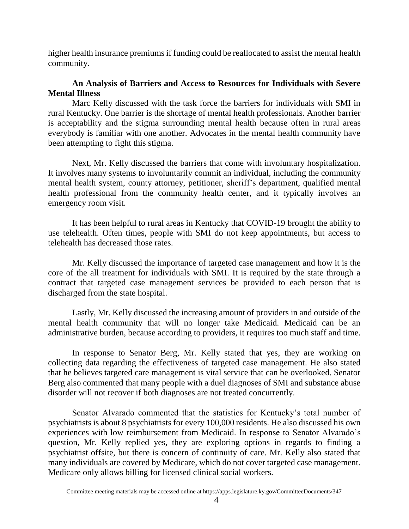higher health insurance premiums if funding could be reallocated to assist the mental health community.

# **An Analysis of Barriers and Access to Resources for Individuals with Severe Mental Illness**

Marc Kelly discussed with the task force the barriers for individuals with SMI in rural Kentucky. One barrier is the shortage of mental health professionals. Another barrier is acceptability and the stigma surrounding mental health because often in rural areas everybody is familiar with one another. Advocates in the mental health community have been attempting to fight this stigma.

Next, Mr. Kelly discussed the barriers that come with involuntary hospitalization. It involves many systems to involuntarily commit an individual, including the community mental health system, county attorney, petitioner, sheriff's department, qualified mental health professional from the community health center, and it typically involves an emergency room visit.

It has been helpful to rural areas in Kentucky that COVID-19 brought the ability to use telehealth. Often times, people with SMI do not keep appointments, but access to telehealth has decreased those rates.

Mr. Kelly discussed the importance of targeted case management and how it is the core of the all treatment for individuals with SMI. It is required by the state through a contract that targeted case management services be provided to each person that is discharged from the state hospital.

Lastly, Mr. Kelly discussed the increasing amount of providers in and outside of the mental health community that will no longer take Medicaid. Medicaid can be an administrative burden, because according to providers, it requires too much staff and time.

In response to Senator Berg, Mr. Kelly stated that yes, they are working on collecting data regarding the effectiveness of targeted case management. He also stated that he believes targeted care management is vital service that can be overlooked. Senator Berg also commented that many people with a duel diagnoses of SMI and substance abuse disorder will not recover if both diagnoses are not treated concurrently.

Senator Alvarado commented that the statistics for Kentucky's total number of psychiatrists is about 8 psychiatrists for every 100,000 residents. He also discussed his own experiences with low reimbursement from Medicaid. In response to Senator Alvarado's question, Mr. Kelly replied yes, they are exploring options in regards to finding a psychiatrist offsite, but there is concern of continuity of care. Mr. Kelly also stated that many individuals are covered by Medicare, which do not cover targeted case management. Medicare only allows billing for licensed clinical social workers.

Committee meeting materials may be accessed online at https://apps.legislature.ky.gov/CommitteeDocuments/347